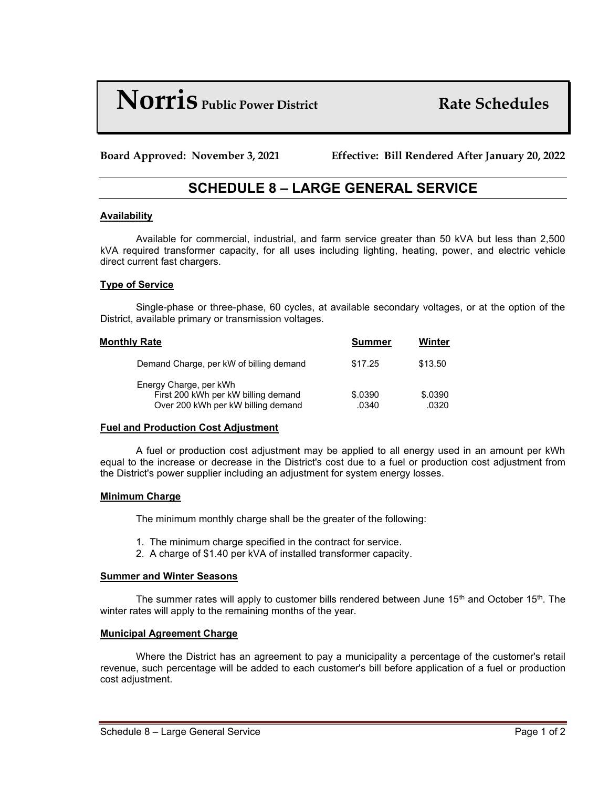# **Norris Public Power District Rate Schedules**

**Board Approved: November 3, 2021 Effective: Bill Rendered After January 20, 2022**

# **SCHEDULE 8 – LARGE GENERAL SERVICE**

# **Availability**

Available for commercial, industrial, and farm service greater than 50 kVA but less than 2,500 kVA required transformer capacity, for all uses including lighting, heating, power, and electric vehicle direct current fast chargers.

# **Type of Service**

Single-phase or three-phase, 60 cycles, at available secondary voltages, or at the option of the District, available primary or transmission voltages.

| Monthly Rate |                                                                                                     | <b>Summer</b>    | Winter           |
|--------------|-----------------------------------------------------------------------------------------------------|------------------|------------------|
|              | Demand Charge, per kW of billing demand                                                             | \$17.25          | \$13.50          |
|              | Energy Charge, per kWh<br>First 200 kWh per kW billing demand<br>Over 200 kWh per kW billing demand | \$.0390<br>.0340 | \$.0390<br>.0320 |

#### **Fuel and Production Cost Adjustment**

A fuel or production cost adjustment may be applied to all energy used in an amount per kWh equal to the increase or decrease in the District's cost due to a fuel or production cost adjustment from the District's power supplier including an adjustment for system energy losses.

#### **Minimum Charge**

The minimum monthly charge shall be the greater of the following:

- 1. The minimum charge specified in the contract for service.
- 2. A charge of \$1.40 per kVA of installed transformer capacity.

#### **Summer and Winter Seasons**

The summer rates will apply to customer bills rendered between June  $15<sup>th</sup>$  and October  $15<sup>th</sup>$ . The winter rates will apply to the remaining months of the year.

#### **Municipal Agreement Charge**

Where the District has an agreement to pay a municipality a percentage of the customer's retail revenue, such percentage will be added to each customer's bill before application of a fuel or production cost adjustment.